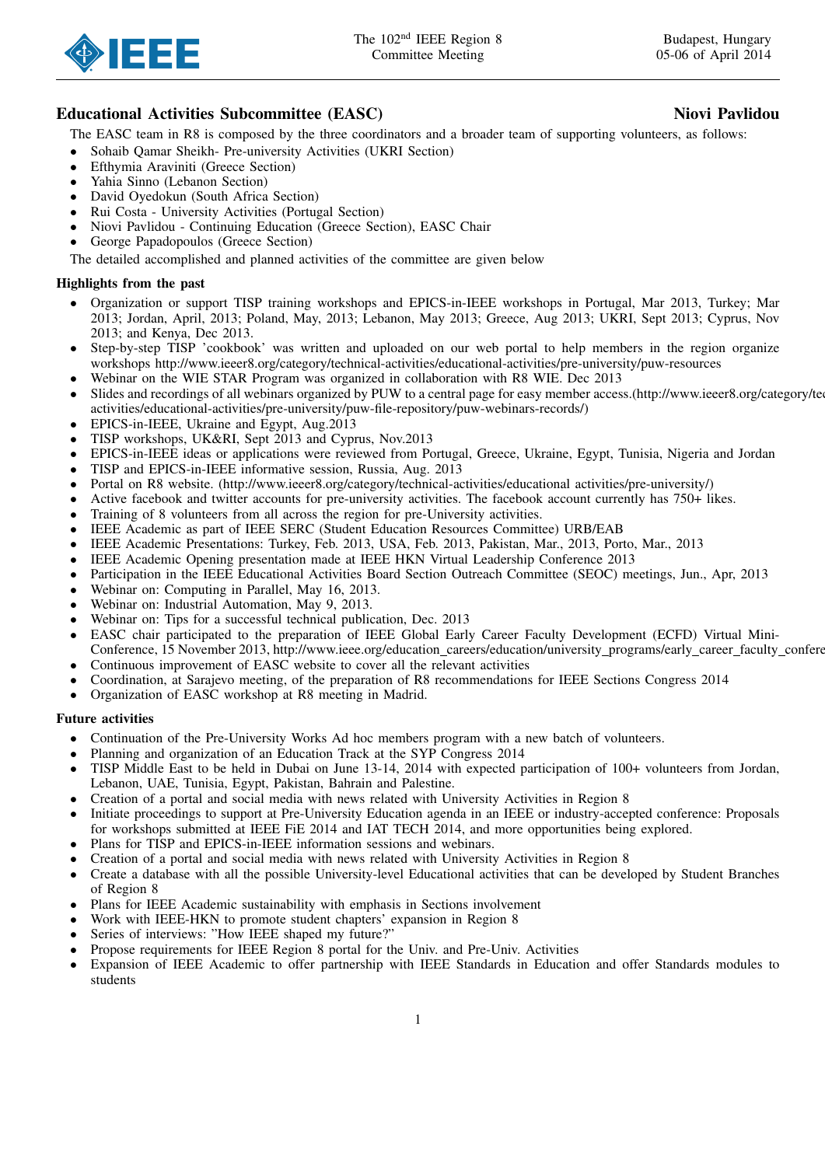

# Educational Activities Subcommittee (EASC) Niovi Pavlidou

The EASC team in R8 is composed by the three coordinators and a broader team of supporting volunteers, as follows:

- Sohaib Qamar Sheikh- Pre-university Activities (UKRI Section)
- Efthymia Araviniti (Greece Section)
- Yahia Sinno (Lebanon Section)
- David Oyedokun (South Africa Section)
- Rui Costa University Activities (Portugal Section)
- Niovi Pavlidou Continuing Education (Greece Section), EASC Chair
- George Papadopoulos (Greece Section)

The detailed accomplished and planned activities of the committee are given below

## Highlights from the past

- Organization or support TISP training workshops and EPICS-in-IEEE workshops in Portugal, Mar 2013, Turkey; Mar 2013; Jordan, April, 2013; Poland, May, 2013; Lebanon, May 2013; Greece, Aug 2013; UKRI, Sept 2013; Cyprus, Nov 2013; and Kenya, Dec 2013.
- Step-by-step TISP 'cookbook' was written and uploaded on our web portal to help members in the region organize workshops http://www.ieeer8.org/category/technical-activities/educational-activities/pre-university/puw-resources
- Webinar on the WIE STAR Program was organized in collaboration with R8 WIE. Dec 2013
- Slides and recordings of all webinars organized by PUW to a central page for easy member access.(http://www.ieeer8.org/category/te activities/educational-activities/pre-university/puw-file-repository/puw-webinars-records/)
- EPICS-in-IEEE, Ukraine and Egypt, Aug.2013
- TISP workshops, UK&RI, Sept 2013 and Cyprus, Nov.2013
- EPICS-in-IEEE ideas or applications were reviewed from Portugal, Greece, Ukraine, Egypt, Tunisia, Nigeria and Jordan
- TISP and EPICS-in-IEEE informative session, Russia, Aug. 2013
- Portal on R8 website. (http://www.ieeer8.org/category/technical-activities/educational activities/pre-university/)
- Active facebook and twitter accounts for pre-university activities. The facebook account currently has 750+ likes.
- Training of 8 volunteers from all across the region for pre-University activities.
- IEEE Academic as part of IEEE SERC (Student Education Resources Committee) URB/EAB
- IEEE Academic Presentations: Turkey, Feb. 2013, USA, Feb. 2013, Pakistan, Mar., 2013, Porto, Mar., 2013
- IEEE Academic Opening presentation made at IEEE HKN Virtual Leadership Conference 2013
- Participation in the IEEE Educational Activities Board Section Outreach Committee (SEOC) meetings, Jun., Apr, 2013
- Webinar on: Computing in Parallel, May 16, 2013.
- Webinar on: Industrial Automation, May 9, 2013.
- Webinar on: Tips for a successful technical publication, Dec. 2013
- EASC chair participated to the preparation of IEEE Global Early Career Faculty Development (ECFD) Virtual Mini-Conference, 15 November 2013, http://www.ieee.org/education\_careers/education/university\_programs/early\_career\_faculty\_confere
- Continuous improvement of EASC website to cover all the relevant activities
- Coordination, at Sarajevo meeting, of the preparation of R8 recommendations for IEEE Sections Congress 2014
- Organization of EASC workshop at R8 meeting in Madrid.

#### Future activities

- Continuation of the Pre-University Works Ad hoc members program with a new batch of volunteers.
- Planning and organization of an Education Track at the SYP Congress 2014
- TISP Middle East to be held in Dubai on June 13-14, 2014 with expected participation of 100+ volunteers from Jordan, Lebanon, UAE, Tunisia, Egypt, Pakistan, Bahrain and Palestine.
- Creation of a portal and social media with news related with University Activities in Region 8
- Initiate proceedings to support at Pre-University Education agenda in an IEEE or industry-accepted conference: Proposals for workshops submitted at IEEE FiE 2014 and IAT TECH 2014, and more opportunities being explored.
- Plans for TISP and EPICS-in-IEEE information sessions and webinars.
- Creation of a portal and social media with news related with University Activities in Region 8
- Create a database with all the possible University-level Educational activities that can be developed by Student Branches of Region 8
- Plans for IEEE Academic sustainability with emphasis in Sections involvement
- Work with IEEE-HKN to promote student chapters' expansion in Region 8
- Series of interviews: "How IEEE shaped my future?"
- Propose requirements for IEEE Region 8 portal for the Univ. and Pre-Univ. Activities
- Expansion of IEEE Academic to offer partnership with IEEE Standards in Education and offer Standards modules to students